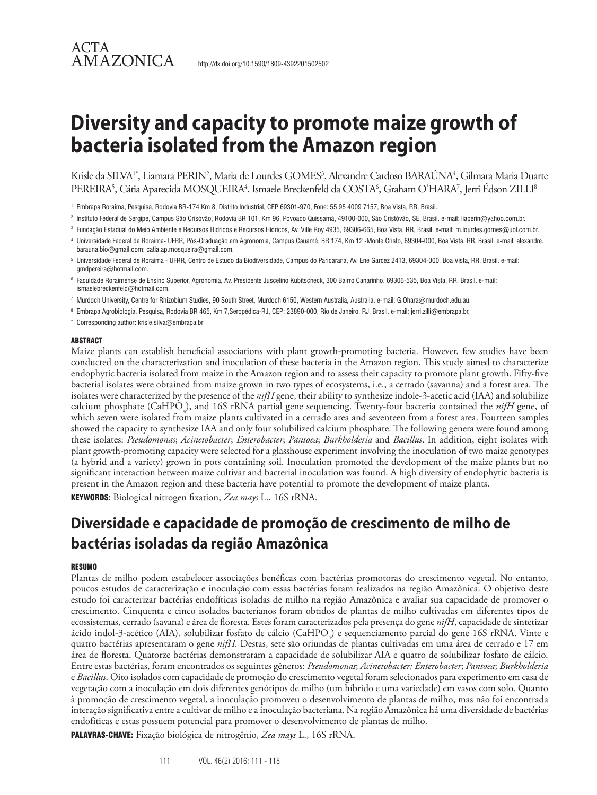# **Diversity and capacity to promote maize growth of bacteria isolated from the Amazon region**

Krisle da SILVA<sup>1\*</sup>, Liamara PERIN<sup>2</sup>, Maria de Lourdes GOMES<sup>3</sup>, Alexandre Cardoso BARAÚNA<sup>4</sup>, Gilmara Maria Duarte PEREIRA<sup>5</sup>, Cátia Aparecida MOSQUEIRA<sup>4</sup>, Ismaele Breckenfeld da COSTA<sup>6</sup>, Graham O'HARA<sup>7</sup>, Jerri Édson ZILLI<sup>8</sup>

- <sup>2</sup> Instituto Federal de Sergipe, Campus São Crisóvão, Rodovia BR 101, Km 96, Povoado Quissamã, 49100-000, São Cristóvão, SE, Brasil. e-mail: liaperin@yahoo.com.br.
- <sup>3</sup> Fundação Estadual do Meio Ambiente e Recursos Hídricos e Recursos Hídricos, Av. Ville Roy 4935, 69306-665, Boa Vista, RR, Brasil. e-mail: m.lourdes.gomes@uol.com.br.
- <sup>4</sup> Universidade Federal de Roraima- UFRR, Pós-Graduação em Agronomia, Campus Cauamé, BR 174, Km 12 -Monte Cristo, 69304-000, Boa Vista, RR, Brasil. e-mail: alexandre. barauna.bio@gmail.com; catia.ap.mosqueira@gmail.com.
- <sup>5</sup> Universidade Federal de Roraima UFRR, Centro de Estudo da Biodiversidade, Campus do Paricarana, Av. Ene Garcez 2413, 69304-000, Boa Vista, RR, Brasil. e-mail: gmdpereira@hotmail.com.
- <sup>6</sup> Faculdade Roraimense de Ensino Superior, Agronomia, Av. Presidente Juscelino Kubitscheck, 300 Bairro Canarinho, 69306-535, Boa Vista, RR, Brasil. e-mail: ismaelebreckenfeld@hotmail.com.
- <sup>7</sup> Murdoch University, Centre for Rhizobium Studies, 90 South Street, Murdoch 6150, Western Australia, Australia. e-mail: G.Ohara@murdoch.edu.au.
- <sup>8</sup> Embrapa Agrobiologia, Pesquisa, Rodovia BR 465, Km 7,Seropédica-RJ, CEP: 23890-000, Rio de Janeiro, RJ, Brasil. e-mail: jerri.zilli@embrapa.br.
- \* Corresponding author: krisle.silva@embrapa.br

#### ABSTRACT

ACTA

AMAZONICA

Maize plants can establish beneficial associations with plant growth-promoting bacteria. However, few studies have been conducted on the characterization and inoculation of these bacteria in the Amazon region. This study aimed to characterize endophytic bacteria isolated from maize in the Amazon region and to assess their capacity to promote plant growth. Fifty-five bacterial isolates were obtained from maize grown in two types of ecosystems, i.e., a cerrado (savanna) and a forest area. The isolates were characterized by the presence of the *nifH* gene, their ability to synthesize indole-3-acetic acid (IAA) and solubilize calcium phosphate (CaHPO<sub>4</sub>), and 16S rRNA partial gene sequencing. Twenty-four bacteria contained the *nifH* gene, of which seven were isolated from maize plants cultivated in a cerrado area and seventeen from a forest area. Fourteen samples showed the capacity to synthesize IAA and only four solubilized calcium phosphate. The following genera were found among these isolates: *Pseudomonas*; *Acinetobacter*; *Enterobacter*; *Pantoea*; *Burkholderia* and *Bacillus*. In addition, eight isolates with plant growth-promoting capacity were selected for a glasshouse experiment involving the inoculation of two maize genotypes (a hybrid and a variety) grown in pots containing soil. Inoculation promoted the development of the maize plants but no significant interaction between maize cultivar and bacterial inoculation was found. A high diversity of endophytic bacteria is present in the Amazon region and these bacteria have potential to promote the development of maize plants. KEYWORDS: Biological nitrogen fixation, *Zea mays* L., 16S rRNA.

# **Diversidade e capacidade de promoção de crescimento de milho de bactérias isoladas da região Amazônica**

#### **RESUMO**

Plantas de milho podem estabelecer associações benéficas com bactérias promotoras do crescimento vegetal. No entanto, poucos estudos de caracterização e inoculação com essas bactérias foram realizados na região Amazônica. O objetivo deste estudo foi caracterizar bactérias endofíticas isoladas de milho na região Amazônica e avaliar sua capacidade de promover o crescimento. Cinquenta e cinco isolados bacterianos foram obtidos de plantas de milho cultivadas em diferentes tipos de ecossistemas, cerrado (savana) e área de floresta. Estes foram caracterizados pela presença do gene *nifH*, capacidade de sintetizar ácido indol-3-acético (AIA), solubilizar fosfato de cálcio (CaHPO<sub>4</sub>) e sequenciamento parcial do gene 16S rRNA. Vinte e quatro bactérias apresentaram o gene *nifH.* Destas, sete são oriundas de plantas cultivadas em uma área de cerrado e 17 em área de floresta. Quatorze bactérias demonstraram a capacidade de solubilizar AIA e quatro de solubilizar fosfato de cálcio. Entre estas bactérias, foram encontrados os seguintes gêneros: *Pseudomonas*; *Acinetobacter; Enterobacter*; *Pantoea*; *Burkholderia* e *Bacillus*. Oito isolados com capacidade de promoção do crescimento vegetal foram selecionados para experimento em casa de vegetação com a inoculação em dois diferentes genótipos de milho (um híbrido e uma variedade) em vasos com solo. Quanto à promoção de crescimento vegetal, a inoculação promoveu o desenvolvimento de plantas de milho, mas não foi encontrada interação significativa entre a cultivar de milho e a inoculação bacteriana. Na região Amazônica há uma diversidade de bactérias endofíticas e estas possuem potencial para promover o desenvolvimento de plantas de milho.

PALAVRAS-CHAVE: Fixação biológica de nitrogênio, *Zea mays* L., 16S rRNA.

111 VOL. 46(2) 2016: 111 - 118

<sup>1</sup> Embrapa Roraima, Pesquisa, Rodovia BR-174 Km 8, Distrito Industrial, CEP 69301-970, Fone: 55 95 4009 7157, Boa Vista, RR, Brasil.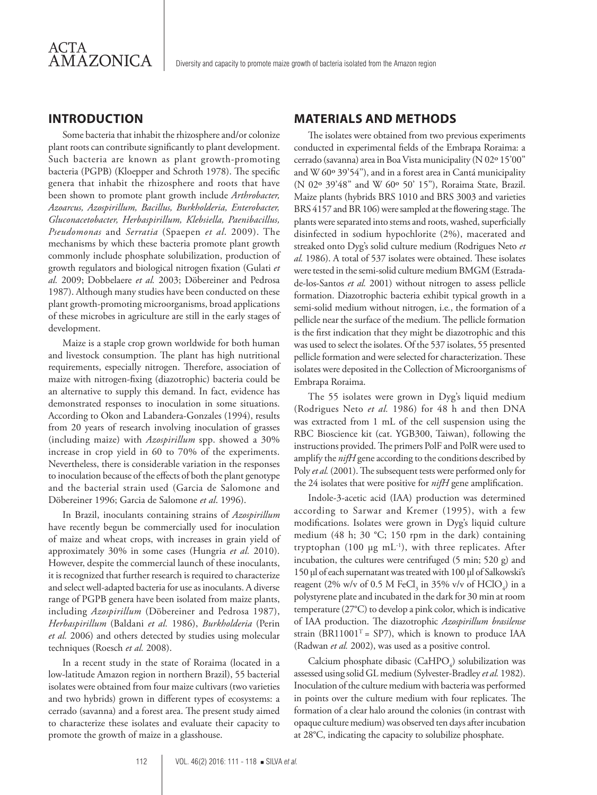## **INTRODUCTION**

Some bacteria that inhabit the rhizosphere and/or colonize plant roots can contribute significantly to plant development. Such bacteria are known as plant growth-promoting bacteria (PGPB) (Kloepper and Schroth 1978). The specific genera that inhabit the rhizosphere and roots that have been shown to promote plant growth include *Arthrobacter, Azoarcus, Azospirillum, Bacillus, Burkholderia, Enterobacter, Gluconacetobacter, Herbaspirillum, Klebsiella, Paenibacillus, Pseudomonas* and *Serratia* (Spaepen *et al*. 2009). The mechanisms by which these bacteria promote plant growth commonly include phosphate solubilization, production of growth regulators and biological nitrogen fixation (Gulati *et al.* 2009; Dobbelaere *et al.* 2003; Döbereiner and Pedrosa 1987). Although many studies have been conducted on these plant growth-promoting microorganisms, broad applications of these microbes in agriculture are still in the early stages of development.

Maize is a staple crop grown worldwide for both human and livestock consumption. The plant has high nutritional requirements, especially nitrogen. Therefore, association of maize with nitrogen-fixing (diazotrophic) bacteria could be an alternative to supply this demand. In fact, evidence has demonstrated responses to inoculation in some situations. According to Okon and Labandera-Gonzales (1994), results from 20 years of research involving inoculation of grasses (including maize) with *Azospirillum* spp. showed a 30% increase in crop yield in 60 to 70% of the experiments. Nevertheless, there is considerable variation in the responses to inoculation because of the effects of both the plant genotype and the bacterial strain used (Garcia de Salomone and Döbereiner 1996; Garcia de Salomone *et al*. 1996).

In Brazil, inoculants containing strains of *Azospirillum* have recently begun be commercially used for inoculation of maize and wheat crops, with increases in grain yield of approximately 30% in some cases (Hungria *et al.* 2010). However, despite the commercial launch of these inoculants, it is recognized that further research is required to characterize and select well-adapted bacteria for use as inoculants. A diverse range of PGPB genera have been isolated from maize plants, including *Azospirillum* (Döbereiner and Pedrosa 1987), *Herbaspirillum* (Baldani *et al.* 1986), *Burkholderia* (Perin *et al.* 2006) and others detected by studies using molecular techniques (Roesch *et al.* 2008).

In a recent study in the state of Roraima (located in a low-latitude Amazon region in northern Brazil), 55 bacterial isolates were obtained from four maize cultivars (two varieties and two hybrids) grown in different types of ecosystems: a cerrado (savanna) and a forest area. The present study aimed to characterize these isolates and evaluate their capacity to promote the growth of maize in a glasshouse.

### **MATERIALS AND METHODS**

The isolates were obtained from two previous experiments conducted in experimental fields of the Embrapa Roraima: a cerrado (savanna) area in Boa Vista municipality (N 02º 15'00'' and W 60º 39'54''), and in a forest area in Cantá municipality (N 02º 39'48'' and W 60º 50' 15''), Roraima State, Brazil. Maize plants (hybrids BRS 1010 and BRS 3003 and varieties BRS 4157 and BR 106) were sampled at the flowering stage. The plants were separated into stems and roots, washed, superficially disinfected in sodium hypochlorite (2%), macerated and streaked onto Dyg's solid culture medium (Rodrigues Neto *et al.* 1986). A total of 537 isolates were obtained. These isolates were tested in the semi-solid culture medium BMGM (Estradade-los-Santos *et al.* 2001) without nitrogen to assess pellicle formation. Diazotrophic bacteria exhibit typical growth in a semi-solid medium without nitrogen, i.e*.*, the formation of a pellicle near the surface of the medium. The pellicle formation is the first indication that they might be diazotrophic and this was used to select the isolates. Of the 537 isolates, 55 presented pellicle formation and were selected for characterization. These isolates were deposited in the Collection of Microorganisms of Embrapa Roraima.

The 55 isolates were grown in Dyg's liquid medium (Rodrigues Neto *et al.* 1986) for 48 h and then DNA was extracted from 1 mL of the cell suspension using the RBC Bioscience kit (cat. YGB300, Taiwan), following the instructions provided. The primers PolF and PolR were used to amplify the *nifH* gene according to the conditions described by Poly *et al.* (2001). The subsequent tests were performed only for the 24 isolates that were positive for *nifH* gene amplification.

Indole-3-acetic acid (IAA) production was determined according to Sarwar and Kremer (1995), with a few modifications. Isolates were grown in Dyg's liquid culture medium (48 h; 30 °C; 150 rpm in the dark) containing tryptophan (100  $\mu$ g mL<sup>-1</sup>), with three replicates. After incubation, the cultures were centrifuged (5 min; 520 g) and 150 µl of each supernatant was treated with 100 µl of Salkowski's reagent (2% w/v of 0.5 M FeCl<sub>3</sub> in 35% v/v of HClO<sub>4</sub>) in a polystyrene plate and incubated in the dark for 30 min at room temperature (27°C) to develop a pink color, which is indicative of IAA production. The diazotrophic *Azospirillum brasilense*  strain (BR11001<sup>T</sup> = SP7), which is known to produce IAA (Radwan *et al.* 2002), was used as a positive control.

Calcium phosphate dibasic (CaHPO<sub>4</sub>) solubilization was assessed using solid GL medium (Sylvester-Bradley *et al.* 1982). Inoculation of the culture medium with bacteria was performed in points over the culture medium with four replicates. The formation of a clear halo around the colonies (in contrast with opaque culture medium) was observed ten days after incubation at 28°C, indicating the capacity to solubilize phosphate.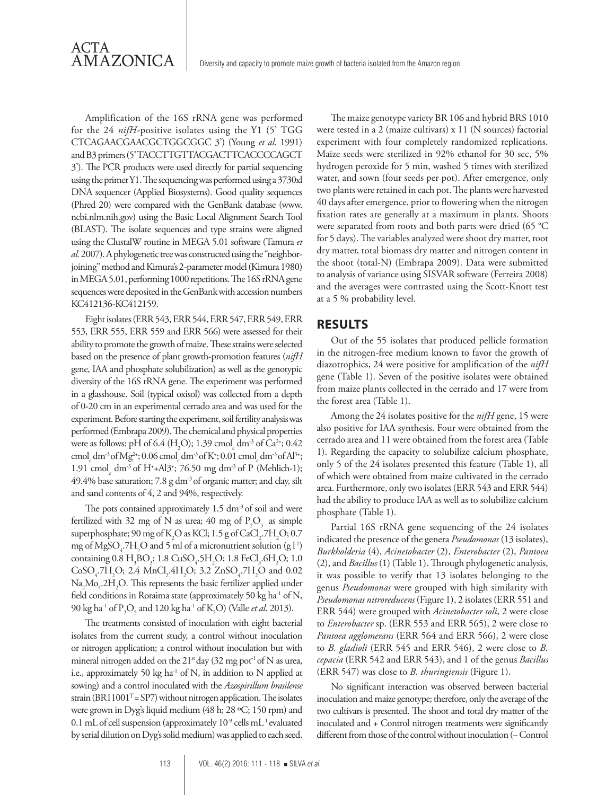Amplification of the 16S rRNA gene was performed for the 24 *nifH-*positive isolates using the Y1 (5' TGG CTCAGAACGAACGCTGGCGGC 3') (Young *et al*. 1991) and B3 primers (5' TACCTTGTTACGACTTCACCCCAGCT 3'). The PCR products were used directly for partial sequencing using the primer Y1. The sequencing was performed using a 3730xl DNA sequencer (Applied Biosystems). Good quality sequences (Phred 20) were compared with the GenBank database (www. ncbi.nlm.nih.gov) using the Basic Local Alignment Search Tool (BLAST). The isolate sequences and type strains were aligned using the ClustalW routine in MEGA 5.01 software (Tamura *et al.* 2007). A phylogenetic tree was constructed using the "neighborjoining" method and Kimura's 2-parameter model (Kimura 1980) in MEGA 5.01, performing 1000 repetitions. The 16S rRNA gene sequences were deposited in the GenBank with accession numbers KC412136-KC412159.

Eight isolates (ERR 543, ERR 544, ERR 547, ERR 549, ERR 553, ERR 555, ERR 559 and ERR 566) were assessed for their ability to promote the growth of maize. These strains were selected based on the presence of plant growth-promotion features (*nifH* gene, IAA and phosphate solubilization) as well as the genotypic diversity of the 16S rRNA gene. The experiment was performed in a glasshouse. Soil (typical oxisol) was collected from a depth of 0-20 cm in an experimental cerrado area and was used for the experiment. Before starting the experiment, soil fertility analysis was performed (Embrapa 2009). The chemical and physical properties were as follows: pH of 6.4 (H<sub>2</sub>O); 1.39 cmol<sub>c</sub> dm<sup>-3</sup> of Ca<sup>2+</sup>; 0.42 cmol<sub>c</sub> dm<sup>-3</sup> of Mg<sup>2+</sup>; 0.06 cmol<sub>c</sub> dm<sup>-3</sup> of K<sup>+</sup>; 0.01 cmol<sub>c</sub> dm<sup>-3</sup> of Al<sup>3+</sup>; 1.91 cmol<sub>c</sub> dm<sup>-3</sup> of H<sup>+</sup>+Al3<sup>+</sup>; 76.50 mg dm<sup>-3</sup> of P (Mehlich-1); 49.4% base saturation; 7.8 g dm<sup>-3</sup> of organic matter; and clay, silt and sand contents of 4, 2 and 94%, respectively.

The pots contained approximately  $1.5 \text{ dm}^3$  of soil and were fertilized with 32 mg of N as urea; 40 mg of  $P_2O_5$  as simple superphosphate; 90 mg of K<sub>2</sub>O as KCl; 1.5 g of CaCl<sub>2</sub>.7H<sub>2</sub>O; 0.7 mg of  $MgSO_4$ .7H<sub>2</sub>O and 5 ml of a micronutrient solution (g l<sup>-1</sup>) containing  $0.8 \text{ H}_{3}\text{BO}_{3}$ ;  $1.8 \text{ CuSO}_{4}$ .5 $\text{H}_{2}\text{O}$ ;  $1.8 \text{ FeCl}_{3}$ .6 $\text{H}_{2}\text{O}$ ;  $1.0 \text{ H}_{2}\text{CO}_{3}$  $CoSO_4$ .7H<sub>2</sub>O; 2.4 MnCl<sub>2</sub>.4H<sub>2</sub>O; 3.2 ZnSO<sub>4</sub>.7H<sub>2</sub>O and 0.02  $\text{Na}_2\text{Mo}_4.2\text{H}_2\text{O}$ . This represents the basic fertilizer applied under field conditions in Roraima state (approximately 50 kg ha<sup>-1</sup> of N, 90 kg ha-1 of P2 O5 and 120 kg ha-1 of K2 O) (Valle *et al*. 2013).

The treatments consisted of inoculation with eight bacterial isolates from the current study, a control without inoculation or nitrogen application; a control without inoculation but with mineral nitrogen added on the  $21^{\text{st}}$  day (32 mg pot<sup>-1</sup> of N as urea, i.e., approximately 50 kg ha $^{-1}$  of N, in addition to N applied at sowing) and a control inoculated with the *Azospirillum brasilense*  strain ( $BRI1001<sup>T</sup> = SP7$ ) without nitrogen application. The isolates were grown in Dyg's liquid medium (48 h; 28 ºC; 150 rpm) and 0.1 mL of cell suspension (approximately  $10^{-9}$  cells mL<sup>-1</sup> evaluated by serial dilution on Dyg's solid medium) was applied to each seed.

The maize genotype variety BR 106 and hybrid BRS 1010 were tested in a 2 (maize cultivars) x 11 (N sources) factorial experiment with four completely randomized replications. Maize seeds were sterilized in 92% ethanol for 30 sec, 5% hydrogen peroxide for 5 min, washed 5 times with sterilized water, and sown (four seeds per pot). After emergence, only two plants were retained in each pot. The plants were harvested 40 days after emergence, prior to flowering when the nitrogen fixation rates are generally at a maximum in plants. Shoots were separated from roots and both parts were dried (65 °C for 5 days). The variables analyzed were shoot dry matter, root dry matter, total biomass dry matter and nitrogen content in the shoot (total-N) (Embrapa 2009). Data were submitted to analysis of variance using SISVAR software (Ferreira 2008) and the averages were contrasted using the Scott-Knott test at a 5 % probability level.

### **RESULTS**

Out of the 55 isolates that produced pellicle formation in the nitrogen-free medium known to favor the growth of diazotrophics, 24 were positive for amplification of the *nifH*  gene (Table 1). Seven of the positive isolates were obtained from maize plants collected in the cerrado and 17 were from the forest area (Table 1).

Among the 24 isolates positive for the *nifH* gene, 15 were also positive for IAA synthesis. Four were obtained from the cerrado area and 11 were obtained from the forest area (Table 1). Regarding the capacity to solubilize calcium phosphate, only 5 of the 24 isolates presented this feature (Table 1), all of which were obtained from maize cultivated in the cerrado area. Furthermore, only two isolates (ERR 543 and ERR 544) had the ability to produce IAA as well as to solubilize calcium phosphate (Table 1).

Partial 16S rRNA gene sequencing of the 24 isolates indicated the presence of the genera *Pseudomonas* (13 isolates), *Burkholderia* (4), *Acinetobacter* (2), *Enterobacter* (2), *Pantoea*  (2), and *Bacillus* (1) (Table 1). Through phylogenetic analysis, it was possible to verify that 13 isolates belonging to the genus *Pseudomonas* were grouped with high similarity with *Pseudomonas nitroreducens* (Figure 1), 2 isolates (ERR 551 and ERR 544) were grouped with *Acinetobacter soli*, 2 were close to *Enterobacter* sp. (ERR 553 and ERR 565), 2 were close to *Pantoea agglomerans* (ERR 564 and ERR 566), 2 were close to *B. gladioli* (ERR 545 and ERR 546), 2 were close to *B. cepacia* (ERR 542 and ERR 543), and 1 of the genus *Bacillus*  (ERR 547) was close to *B. thuringiensis* (Figure 1).

No significant interaction was observed between bacterial inoculation and maize genotype; therefore, only the average of the two cultivars is presented. The shoot and total dry matter of the inoculated and + Control nitrogen treatments were significantly different from those of the control without inoculation (– Control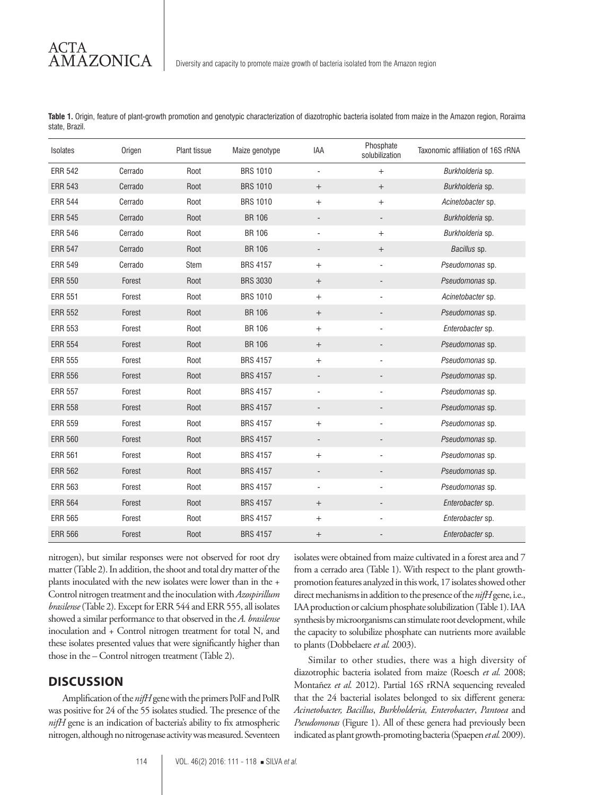ACTA AMAZONICA

**Table 1.** Origin, feature of plant-growth promotion and genotypic characterization of diazotrophic bacteria isolated from maize in the Amazon region, Roraima state, Brazil.

| Isolates       | Origen  | Plant tissue | Maize genotype  | <b>IAA</b>                       | Phosphate<br>solubilization | Taxonomic affiliation of 16S rRNA |
|----------------|---------|--------------|-----------------|----------------------------------|-----------------------------|-----------------------------------|
| <b>ERR 542</b> | Cerrado | Root         | <b>BRS 1010</b> | $\overline{\phantom{a}}$         | $+$                         | Burkholderia sp.                  |
| <b>ERR 543</b> | Cerrado | Root         | <b>BRS 1010</b> | $\boldsymbol{+}$                 | $\qquad \qquad +$           | Burkholderia sp.                  |
| <b>ERR 544</b> | Cerrado | Root         | <b>BRS 1010</b> | $\boldsymbol{+}$                 | $+$                         | Acinetobacter sp.                 |
| <b>ERR 545</b> | Cerrado | Root         | <b>BR 106</b>   |                                  |                             | Burkholderia sp.                  |
| <b>ERR 546</b> | Cerrado | Root         | <b>BR 106</b>   | $\blacksquare$                   | $+$                         | Burkholderia sp.                  |
| <b>ERR 547</b> | Cerrado | Root         | <b>BR 106</b>   | $\overline{\phantom{a}}$         | $\qquad \qquad +$           | Bacillus sp.                      |
| <b>ERR 549</b> | Cerrado | <b>Stem</b>  | <b>BRS 4157</b> | $\boldsymbol{+}$                 | ÷,                          | Pseudomonas sp.                   |
| <b>ERR 550</b> | Forest  | Root         | <b>BRS 3030</b> | $^+$                             |                             | Pseudomonas sp.                   |
| <b>ERR 551</b> | Forest  | Root         | <b>BRS 1010</b> | $\begin{array}{c} + \end{array}$ | ÷,                          | Acinetobacter sp.                 |
| <b>ERR 552</b> | Forest  | Root         | <b>BR 106</b>   |                                  |                             | Pseudomonas sp.                   |
| <b>ERR 553</b> | Forest  | Root         | <b>BR 106</b>   | $\boldsymbol{+}$                 |                             | Enterobacter sp.                  |
| <b>ERR 554</b> | Forest  | Root         | <b>BR 106</b>   | $^+$                             |                             | Pseudomonas sp.                   |
| <b>ERR 555</b> | Forest  | Root         | <b>BRS 4157</b> | $\begin{array}{c} + \end{array}$ |                             | Pseudomonas sp.                   |
| <b>ERR 556</b> | Forest  | Root         | <b>BRS 4157</b> | $\overline{\phantom{a}}$         |                             | Pseudomonas sp.                   |
| <b>ERR 557</b> | Forest  | Root         | <b>BRS 4157</b> | $\overline{\phantom{a}}$         |                             | Pseudomonas sp.                   |
| <b>ERR 558</b> | Forest  | Root         | <b>BRS 4157</b> | -                                |                             | Pseudomonas sp.                   |
| <b>ERR 559</b> | Forest  | Root         | <b>BRS 4157</b> |                                  |                             | Pseudomonas sp.                   |
| <b>ERR 560</b> | Forest  | Root         | <b>BRS 4157</b> | $\overline{\phantom{a}}$         |                             | Pseudomonas sp.                   |
| <b>ERR 561</b> | Forest  | Root         | <b>BRS 4157</b> | $\boldsymbol{+}$                 |                             | Pseudomonas sp.                   |
| <b>ERR 562</b> | Forest  | Root         | <b>BRS 4157</b> | $\overline{\phantom{a}}$         |                             | Pseudomonas sp.                   |
| <b>ERR 563</b> | Forest  | Root         | <b>BRS 4157</b> | $\blacksquare$                   |                             | Pseudomonas sp.                   |
| <b>ERR 564</b> | Forest  | Root         | <b>BRS 4157</b> | $\boldsymbol{+}$                 | $\overline{\phantom{0}}$    | Enterobacter sp.                  |
| <b>ERR 565</b> | Forest  | Root         | <b>BRS 4157</b> |                                  |                             | Enterobacter sp.                  |
| <b>ERR 566</b> | Forest  | Root         | <b>BRS 4157</b> | $^+$                             |                             | Enterobacter sp.                  |

nitrogen), but similar responses were not observed for root dry matter (Table 2). In addition, the shoot and total dry matter of the plants inoculated with the new isolates were lower than in the + Control nitrogen treatment and the inoculation with *Azospirillum brasilense* (Table 2). Except for ERR 544 and ERR 555, all isolates showed a similar performance to that observed in the *A. brasilense* inoculation and + Control nitrogen treatment for total N, and these isolates presented values that were significantly higher than those in the – Control nitrogen treatment (Table 2).

#### **DISCUSSION**

Amplification of the *nifH* gene with the primers PolF and PolR was positive for 24 of the 55 isolates studied. The presence of the *nifH* gene is an indication of bacteria's ability to fix atmospheric nitrogen, although no nitrogenase activity was measured. Seventeen isolates were obtained from maize cultivated in a forest area and 7 from a cerrado area (Table 1). With respect to the plant growthpromotion features analyzed in this work, 17 isolates showed other direct mechanisms in addition to the presence of the *nifH* gene, i.e., IAA production or calcium phosphate solubilization (Table 1). IAA synthesis by microorganisms can stimulate root development, while the capacity to solubilize phosphate can nutrients more available to plants (Dobbelaere *et al.* 2003).

Similar to other studies, there was a high diversity of diazotrophic bacteria isolated from maize (Roesch *et al.* 2008; Montañez *et al.* 2012). Partial 16S rRNA sequencing revealed that the 24 bacterial isolates belonged to six different genera: *Acinetobacter, Bacillus*, *Burkholderia, Enterobacter*, *Pantoea* and *Pseudomonas* (Figure 1). All of these genera had previously been indicated as plant growth-promoting bacteria (Spaepen *et al.* 2009).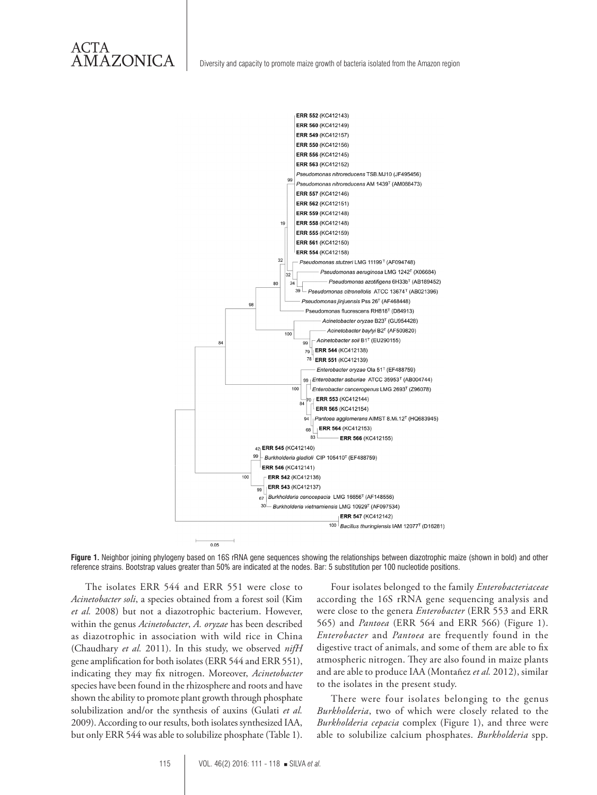

**Figure 1.** Neighbor joining phylogeny based on 16S rRNA gene sequences showing the relationships between diazotrophic maize (shown in bold) and other reference strains. Bootstrap values greater than 50% are indicated at the nodes. Bar: 5 substitution per 100 nucleotide positions.

The isolates ERR 544 and ERR 551 were close to *Acinetobacter soli*, a species obtained from a forest soil (Kim *et al.* 2008) but not a diazotrophic bacterium. However, within the genus *Acinetobacter*, *A. oryzae* has been described as diazotrophic in association with wild rice in China (Chaudhary *et al.* 2011). In this study, we observed *nifH* gene amplification for both isolates (ERR 544 and ERR 551), indicating they may fix nitrogen. Moreover, *Acinetobacter*  species have been found in the rhizosphere and roots and have shown the ability to promote plant growth through phosphate solubilization and/or the synthesis of auxins (Gulati *et al.* 2009). According to our results, both isolates synthesized IAA, but only ERR 544 was able to solubilize phosphate (Table 1).

Four isolates belonged to the family *Enterobacteriaceae* according the 16S rRNA gene sequencing analysis and were close to the genera *Enterobacter* (ERR 553 and ERR 565) and *Pantoea* (ERR 564 and ERR 566) (Figure 1). *Enterobacter* and *Pantoea* are frequently found in the digestive tract of animals, and some of them are able to fix atmospheric nitrogen. They are also found in maize plants and are able to produce IAA (Montañez *et al.* 2012), similar to the isolates in the present study.

There were four isolates belonging to the genus *Burkholderia*, two of which were closely related to the *Burkholderia cepacia* complex (Figure 1), and three were able to solubilize calcium phosphates. *Burkholderia* spp.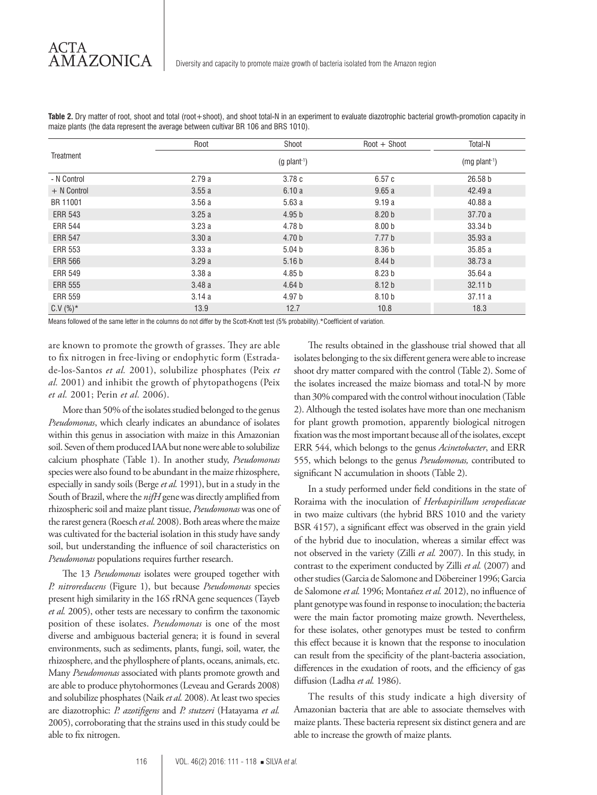|                | Root  | Shoot                      | $Root +$ Shoot    | Total-N            |
|----------------|-------|----------------------------|-------------------|--------------------|
| Treatment      |       | $(mg$ plant <sup>1</sup> ) |                   |                    |
| - N Control    | 2.79a | 3.78c                      | 6.57c             | 26.58 <sub>b</sub> |
| $+$ N Control  | 3.55a | 6.10a                      | 9.65a             | 42.49 a            |
| BR 11001       | 3.56a | 5.63a                      | 9.19a             | 40.88 a            |
| <b>ERR 543</b> | 3.25a | 4.95 <sub>b</sub>          | 8.20 <sub>b</sub> | 37.70 a            |
| <b>ERR 544</b> | 3.23a | 4.78 b                     | 8.00 <sub>b</sub> | 33.34 b            |
| <b>ERR 547</b> | 3.30a | 4.70 <sub>b</sub>          | 7.77 <sub>b</sub> | 35.93 a            |
| <b>ERR 553</b> | 3.33a | 5.04 <sub>b</sub>          | 8.36 <sub>b</sub> | 35.85 a            |
| <b>ERR 566</b> | 3.29a | 5.16 <sub>b</sub>          | 8.44 b            | 38.73 a            |
| <b>ERR 549</b> | 3.38a | 4.85 <sub>b</sub>          | 8.23 <sub>b</sub> | 35.64a             |
| <b>ERR 555</b> | 3.48a | 4.64 <sub>b</sub>          | 8.12 <sub>b</sub> | 32.11 b            |
| <b>ERR 559</b> | 3.14a | 4.97 b                     | 8.10 <sub>b</sub> | 37.11a             |
| $C.V (%)^*$    | 13.9  | 12.7                       | 10.8              | 18.3               |

**Table 2.** Dry matter of root, shoot and total (root+shoot), and shoot total-N in an experiment to evaluate diazotrophic bacterial growth-promotion capacity in maize plants (the data represent the average between cultivar BR 106 and BRS 1010).

Means followed of the same letter in the columns do not differ by the Scott-Knott test (5% probability).\*Coefficient of variation.

are known to promote the growth of grasses. They are able to fix nitrogen in free-living or endophytic form (Estradade-los-Santos *et al.* 2001), solubilize phosphates (Peix *et al.* 2001) and inhibit the growth of phytopathogens (Peix *et al.* 2001; Perin *et al.* 2006).

More than 50% of the isolates studied belonged to the genus *Pseudomonas*, which clearly indicates an abundance of isolates within this genus in association with maize in this Amazonian soil. Seven of them produced IAA but none were able to solubilize calcium phosphate (Table 1). In another study, *Pseudomonas* species were also found to be abundant in the maize rhizosphere, especially in sandy soils (Berge *et al.* 1991), but in a study in the South of Brazil, where the *nifH* gene was directly amplified from rhizospheric soil and maize plant tissue, *Pseudomonas* was one of the rarest genera (Roesch *et al.* 2008). Both areas where the maize was cultivated for the bacterial isolation in this study have sandy soil, but understanding the influence of soil characteristics on *Pseudomonas* populations requires further research.

The 13 *Pseudomonas* isolates were grouped together with *P. nitroreducens* (Figure 1), but because *Pseudomonas* species present high similarity in the 16S rRNA gene sequences (Tayeb *et al.* 2005), other tests are necessary to confirm the taxonomic position of these isolates. *Pseudomonas* is one of the most diverse and ambiguous bacterial genera; it is found in several environments, such as sediments, plants, fungi, soil, water, the rhizosphere, and the phyllosphere of plants, oceans, animals, etc. Many *Pseudomonas* associated with plants promote growth and are able to produce phytohormones (Leveau and Gerards 2008) and solubilize phosphates (Naik *et al.* 2008). At least two species are diazotrophic: *P. azotifigens* and *P. stutzeri* (Hatayama *et al.* 2005), corroborating that the strains used in this study could be able to fix nitrogen.

The results obtained in the glasshouse trial showed that all isolates belonging to the six different genera were able to increase shoot dry matter compared with the control (Table 2). Some of the isolates increased the maize biomass and total-N by more than 30% compared with the control without inoculation (Table 2). Although the tested isolates have more than one mechanism for plant growth promotion, apparently biological nitrogen fixation was the most important because all of the isolates, except ERR 544, which belongs to the genus *Acinetobacter*, and ERR 555, which belongs to the genus *Pseudomonas,* contributed to significant N accumulation in shoots (Table 2).

In a study performed under field conditions in the state of Roraima with the inoculation of *Herbaspirillum seropediacae* in two maize cultivars (the hybrid BRS 1010 and the variety BSR 4157), a significant effect was observed in the grain yield of the hybrid due to inoculation, whereas a similar effect was not observed in the variety (Zilli *et al.* 2007). In this study, in contrast to the experiment conducted by Zilli *et al.* (2007) and other studies (Garcia de Salomone and Döbereiner 1996; Garcia de Salomone *et al.* 1996; Montañez *et al.* 2012), no influence of plant genotype was found in response to inoculation; the bacteria were the main factor promoting maize growth. Nevertheless, for these isolates, other genotypes must be tested to confirm this effect because it is known that the response to inoculation can result from the specificity of the plant-bacteria association, differences in the exudation of roots, and the efficiency of gas diffusion (Ladha *et al.* 1986).

The results of this study indicate a high diversity of Amazonian bacteria that are able to associate themselves with maize plants. These bacteria represent six distinct genera and are able to increase the growth of maize plants.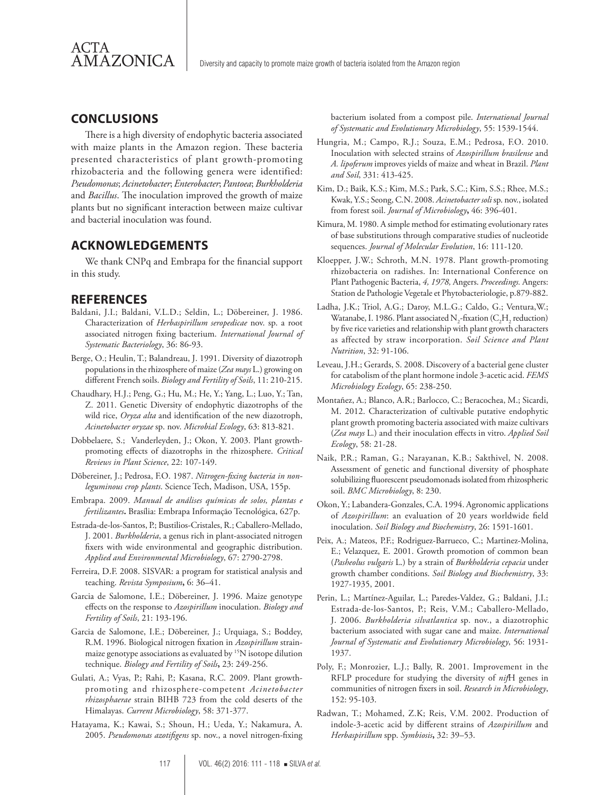

#### **CONCLUSIONS**

There is a high diversity of endophytic bacteria associated with maize plants in the Amazon region. These bacteria presented characteristics of plant growth-promoting rhizobacteria and the following genera were identified: *Pseudomonas*; *Acinetobacter*; *Enterobacter*; *Pantoea*; *Burkholderia* and *Bacillus*. The inoculation improved the growth of maize plants but no significant interaction between maize cultivar and bacterial inoculation was found.

#### **ACKNOWLEDGEMENTS**

We thank CNPq and Embrapa for the financial support in this study.

#### **REFERENCES**

- Baldani, J.I.; Baldani, V.L.D.; Seldin, L.; Döbereiner, J. 1986. Characterization of *Herbaspirillum seropedicae* nov. sp. a root associated nitrogen fixing bacterium. *International Journal of Systematic Bacteriology*, 36: 86-93.
- Berge, O.; Heulin, T.; Balandreau, J. 1991. Diversity of diazotroph populations in the rhizosphere of maize (*Zea mays* L.) growing on different French soils. *Biology and Fertility of Soils*, 11: 210-215.
- Chaudhary, H.J.; Peng, G.; Hu, M.; He, Y.; Yang, L.; Luo, Y.; Tan, Z. 2011. Genetic Diversity of endophytic diazotrophs of the wild rice, *Oryza alta* and identification of the new diazotroph, *Acinetobacter oryzae* sp. nov. *Microbial Ecology*, 63: 813-821.
- Dobbelaere, S.; Vanderleyden, J.; Okon, Y. 2003. Plant growthpromoting effects of diazotrophs in the rhizosphere. *Critical Reviews in Plant Science*, 22: 107-149.
- Döbereiner, J.; Pedrosa, F.O. 1987. *Nitrogen-fixing bacteria in nonleguminous crop plants*. Science Tech, Madison, USA, 155p.
- Embrapa. 2009. *Manual de análises químicas de solos, plantas e fertilizantes***.** Brasília: Embrapa Informação Tecnológica, 627p.
- Estrada-de-los-Santos, P.; Bustilios-Cristales, R.; Caballero-Mellado, J. 2001. *Burkholderia*, a genus rich in plant-associated nitrogen fixers with wide environmental and geographic distribution. *Applied and Environmental Microbiology*, 67: 2790-2798.
- Ferreira, D.F. 2008. SISVAR: a program for statistical analysis and teaching. *Revista Symposium***,** 6: 36–41.
- Garcia de Salomone, I.E.; Döbereiner, J. 1996. Maize genotype effects on the response to *Azospirillum* inoculation. *Biology and Fertility of Soils*, 21: 193-196.
- Garcia de Salomone, I.E.; Döbereiner, J.; Urquiaga, S.; Boddey, R.M. 1996. Biological nitrogen fixation in *Azospirillum* strainmaize genotype associations as evaluated by 15N isotope dilution technique. *Biology and Fertility of Soils***,** 23: 249-256.
- Gulati, A.; Vyas, P.; Rahi, P.; Kasana, R.C. 2009. Plant growthpromoting and rhizosphere-competent *Acinetobacter rhizosphaerae* strain BIHB 723 from the cold deserts of the Himalayas. *Current Microbiology*, 58: 371-377.
- Hatayama, K.; Kawai, S.; Shoun, H.; Ueda, Y.; Nakamura, A. 2005. *Pseudomonas azotifigens* sp. nov., a novel nitrogen-fixing

bacterium isolated from a compost pile. *International Journal of Systematic and Evolutionary Microbiology*, 55: 1539-1544.

- Hungria, M.; Campo, R.J.; Souza, E.M.; Pedrosa, F.O. 2010. Inoculation with selected strains of *Azospirillum brasilense* and *A. lipoferum* improves yields of maize and wheat in Brazil. *Plant and Soil*, 331: 413-425.
- Kim, D.; Baik, K.S.; Kim, M.S.; Park, S.C.; Kim, S.S.; Rhee, M.S.; Kwak, Y.S.; Seong, C.N. 2008. *Acinetobacter soli* sp. nov., isolated from forest soil. *Journal of Microbiology***,** 46: 396-401.
- Kimura, M. 1980. A simple method for estimating evolutionary rates of base substitutions through comparative studies of nucleotide sequences. *Journal of Molecular Evolution*, 16: 111-120.
- Kloepper, J.W.; Schroth, M.N. 1978. Plant growth-promoting rhizobacteria on radishes. In: International Conference on Plant Pathogenic Bacteria, *4, 1978,* Angers. *Proceedings.* Angers: Station de Pathologie Vegetale et Phytobacteriologie, p.879-882.
- Ladha, J.K.; Triol, A.G.; Daroy, M.L.G.; Caldo, G.; Ventura,W.; Watanabe, I. 1986. Plant associated  $N_2$ -fixation (C<sub>2</sub>H<sub>2</sub> reduction) by five rice varieties and relationship with plant growth characters as affected by straw incorporation. *Soil Science and Plant Nutrition*, 32: 91-106.
- Leveau, J.H.; Gerards, S. 2008. Discovery of a bacterial gene cluster for catabolism of the plant hormone indole 3-acetic acid. *FEMS Microbiology Ecology*, 65: 238-250.
- Montañez, A.; Blanco, A.R.; Barlocco, C.; Beracochea, M.; Sicardi, M. 2012. Characterization of cultivable putative endophytic plant growth promoting bacteria associated with maize cultivars (*Zea mays* L.) and their inoculation effects in vitro. *Applied Soil Ecology*, 58: 21-28.
- Naik, P.R.; Raman, G.; Narayanan, K.B.; Sakthivel, N. 2008. Assessment of genetic and functional diversity of phosphate solubilizing fluorescent pseudomonads isolated from rhizospheric soil. *BMC Microbiology*, 8: 230.
- Okon, Y.; Labandera-Gonzales, C.A. 1994. Agronomic applications of *Azospirillum*: an evaluation of 20 years worldwide field inoculation. *Soil Biology and Biochemistry*, 26: 1591-1601.
- Peix, A.; Mateos, P.F.; Rodriguez-Barrueco, C.; Martinez-Molina, E.; Velazquez, E. 2001. Growth promotion of common bean (*Pasheolus vulgaris* L.) by a strain of *Burkholderia cepacia* under growth chamber conditions. *Soil Biology and Biochemistry*, 33: 1927-1935, 2001.
- Perin, L.; Martínez-Aguilar, L.; Paredes-Valdez, G.; Baldani, J.I.; Estrada-de-los-Santos, P.; Reis, V.M.; Caballero-Mellado, J. 2006. *Burkholderia silvatlantica* sp. nov., a diazotrophic bacterium associated with sugar cane and maize. *International Journal of Systematic and Evolutionary Microbiology*, 56: 1931- 1937.
- Poly, F.; Monrozier, L.J.; Bally, R. 2001. Improvement in the RFLP procedure for studying the diversity of *nif*H genes in communities of nitrogen fixers in soil. *Research in Microbiology*, 152: 95-103.
- Radwan, T.; Mohamed, Z.K; Reis, V.M. 2002. Production of indole-3-acetic acid by different strains of *Azospirillum* and *Herbaspirillum* spp. *Symbiosis***,** 32: 39–53.